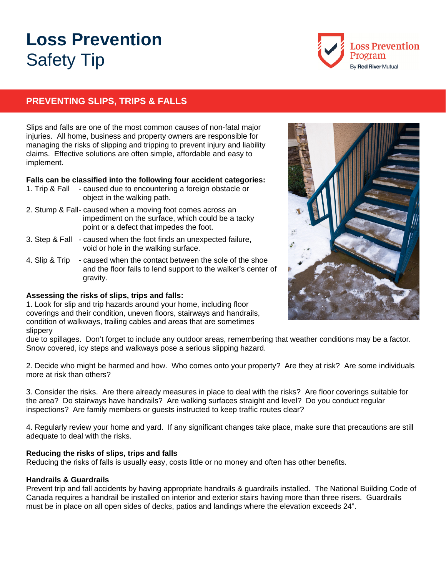# **Loss Prevention**  Safety Tip



## **PREVENTING SLIPS, TRIPS & FALLS**

Slips and falls are one of the most common causes of non-fatal major injuries. All home, business and property owners are responsible for managing the risks of slipping and tripping to prevent injury and liability claims. Effective solutions are often simple, affordable and easy to implement.

#### **Falls can be classified into the following four accident categories:**

- 1. Trip & Fall caused due to encountering a foreign obstacle or object in the walking path.
- 2. Stump & Fall- caused when a moving foot comes across an impediment on the surface, which could be a tacky point or a defect that impedes the foot.
- 3. Step & Fall caused when the foot finds an unexpected failure, void or hole in the walking surface.
- 4. Slip & Trip caused when the contact between the sole of the shoe and the floor fails to lend support to the walker's center of gravity.

#### **Assessing the risks of slips, trips and falls:**

1. Look for slip and trip hazards around your home, including floor coverings and their condition, uneven floors, stairways and handrails, condition of walkways, trailing cables and areas that are sometimes slippery



due to spillages. Don't forget to include any outdoor areas, remembering that weather conditions may be a factor. Snow covered, icy steps and walkways pose a serious slipping hazard.

2. Decide who might be harmed and how. Who comes onto your property? Are they at risk? Are some individuals more at risk than others?

3. Consider the risks. Are there already measures in place to deal with the risks? Are floor coverings suitable for the area? Do stairways have handrails? Are walking surfaces straight and level? Do you conduct regular inspections? Are family members or guests instructed to keep traffic routes clear?

4. Regularly review your home and yard. If any significant changes take place, make sure that precautions are still adequate to deal with the risks.

#### **Reducing the risks of slips, trips and falls**

Reducing the risks of falls is usually easy, costs little or no money and often has other benefits.

#### **Handrails & Guardrails**

Prevent trip and fall accidents by having appropriate handrails & guardrails installed. The National Building Code of Canada requires a handrail be installed on interior and exterior stairs having more than three risers. Guardrails must be in place on all open sides of decks, patios and landings where the elevation exceeds 24".